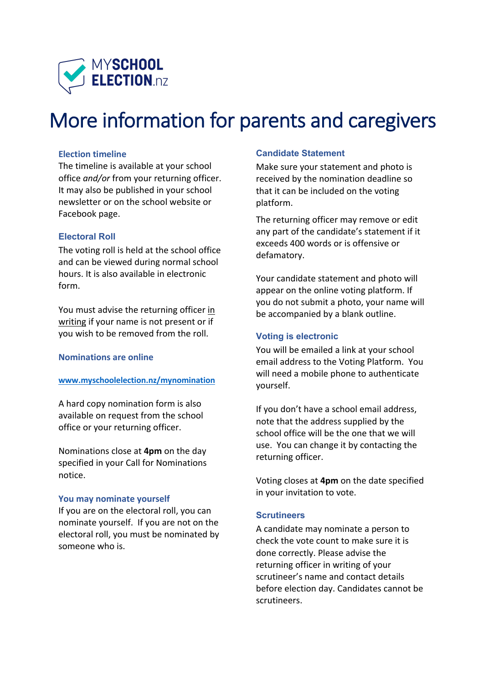

# More information for parents and caregivers

### **Election timeline**

The timeline is available at your school office *and/or* from your returning officer. It may also be published in your school newsletter or on the school website or Facebook page.

### **Electoral Roll**

The voting roll is held at the school office and can be viewed during normal school hours. It is also available in electronic form.

You must advise the returning officer in writing if your name is not present or if you wish to be removed from the roll.

### **Nominations are online**

#### **www.myschoolelection.nz/mynomination**

A hard copy nomination form is also available on request from the school office or your returning officer.

Nominations close at **4pm** on the day specified in your Call for Nominations notice.

### **You may nominate yourself**

If you are on the electoral roll, you can nominate yourself. If you are not on the electoral roll, you must be nominated by someone who is.

### **Candidate Statement**

Make sure your statement and photo is received by the nomination deadline so that it can be included on the voting platform.

The returning officer may remove or edit any part of the candidate's statement if it exceeds 400 words or is offensive or defamatory.

Your candidate statement and photo will appear on the online voting platform. If you do not submit a photo, your name will be accompanied by a blank outline.

### **Voting is electronic**

You will be emailed a link at your school email address to the Voting Platform. You will need a mobile phone to authenticate yourself.

If you don't have a school email address, note that the address supplied by the school office will be the one that we will use. You can change it by contacting the returning officer.

Voting closes at **4pm** on the date specified in your invitation to vote.

### **Scrutineers**

A candidate may nominate a person to check the vote count to make sure it is done correctly. Please advise the returning officer in writing of your scrutineer's name and contact details before election day. Candidates cannot be scrutineers.